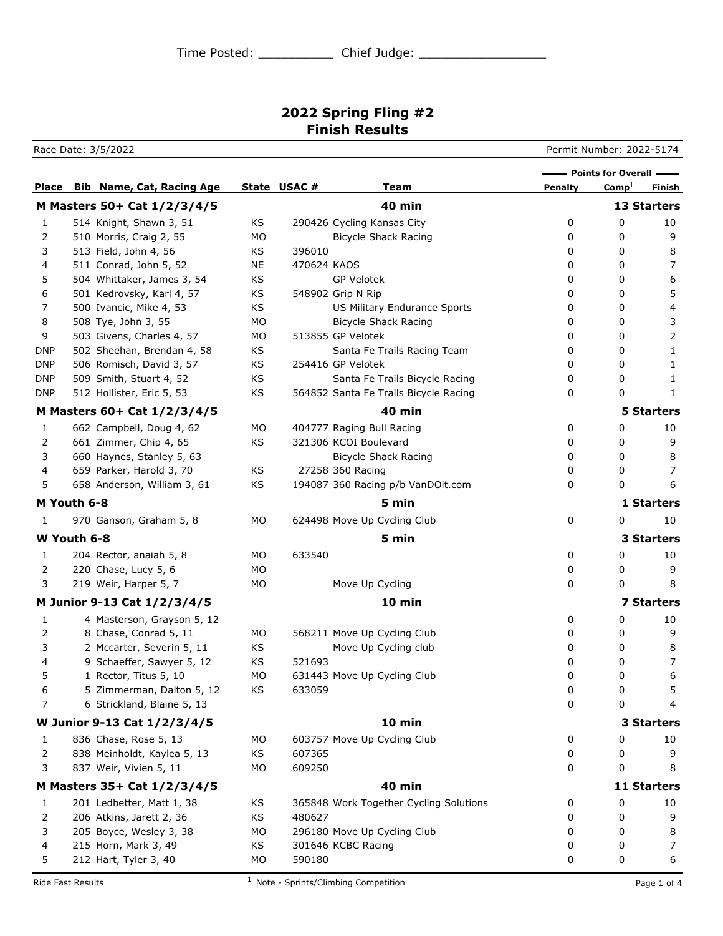## **2022 Spring Fling #2 Finish Results**

Race Date: 3/5/2022 **Permit Number: 2022-5174** 

|            |                                 |     |             |                                        |         | - Points for Overall -- |                         |
|------------|---------------------------------|-----|-------------|----------------------------------------|---------|-------------------------|-------------------------|
|            | Place Bib Name, Cat, Racing Age |     | State USAC# | Team                                   | Penalty | $\mathrm{Comp}^1$       | Finish                  |
|            | M Masters 50+ Cat 1/2/3/4/5     |     |             | <b>40 min</b>                          |         |                         | 13 Starters             |
| 1          | 514 Knight, Shawn 3, 51         | KS  |             | 290426 Cycling Kansas City             | 0       | 0                       | 10                      |
| 2          | 510 Morris, Craig 2, 55         | МO  |             | <b>Bicycle Shack Racing</b>            | 0       | 0                       | 9                       |
| 3          | 513 Field, John 4, 56           | ΚS  | 396010      |                                        | 0       | 0                       | 8                       |
| 4          | 511 Conrad, John 5, 52          | ΝE  | 470624 KAOS |                                        | 0       | 0                       | 7                       |
| 5          | 504 Whittaker, James 3, 54      | KS  |             | <b>GP Velotek</b>                      | 0       | 0                       | 6                       |
| 6          | 501 Kedrovsky, Karl 4, 57       | ΚS  |             | 548902 Grip N Rip                      | 0       | 0                       | 5                       |
| 7          | 500 Ivancic, Mike 4, 53         | ΚS  |             | US Military Endurance Sports           | 0       | 0                       | $\overline{\mathbf{4}}$ |
| 8          | 508 Tye, John 3, 55             | МO  |             | <b>Bicycle Shack Racing</b>            | 0       | 0                       | 3                       |
| 9          | 503 Givens, Charles 4, 57       | МO  |             | 513855 GP Velotek                      | 0       | 0                       | 2                       |
| <b>DNP</b> | 502 Sheehan, Brendan 4, 58      | ΚS  |             | Santa Fe Trails Racing Team            | 0       | 0                       | 1                       |
| DNP        | 506 Romisch, David 3, 57        | ΚS  |             | 254416 GP Velotek                      | 0       | 0                       | 1                       |
| DNP        | 509 Smith, Stuart 4, 52         | ΚS  |             | Santa Fe Trails Bicycle Racing         | 0       | 0                       | 1                       |
| <b>DNP</b> | 512 Hollister, Eric 5, 53       | ΚS  |             | 564852 Santa Fe Trails Bicycle Racing  | 0       | 0                       | 1                       |
|            | M Masters 60+ Cat 1/2/3/4/5     |     |             | <b>40 min</b>                          |         |                         | <b>5 Starters</b>       |
| 1          | 662 Campbell, Doug 4, 62        | МO  |             | 404777 Raging Bull Racing              | 0       | 0                       | 10                      |
| 2          | 661 Zimmer, Chip 4, 65          | ΚS  |             | 321306 KCOI Boulevard                  | 0       | 0                       | 9                       |
| 3          | 660 Haynes, Stanley 5, 63       |     |             | <b>Bicycle Shack Racing</b>            | 0       | 0                       | 8                       |
| 4          | 659 Parker, Harold 3, 70        | ΚS  |             | 27258 360 Racing                       | 0       | 0                       | 7                       |
| 5          | 658 Anderson, William 3, 61     | ΚS  |             | 194087 360 Racing p/b VanDOit.com      | 0       | 0                       | 6                       |
|            | M Youth 6-8                     |     |             | 5 min                                  |         |                         | 1 Starters              |
| 1          | 970 Ganson, Graham 5, 8         | МO  |             | 624498 Move Up Cycling Club            | 0       | 0                       | 10                      |
|            | W Youth 6-8                     |     |             | 5 min                                  |         |                         | 3 Starters              |
| 1          | 204 Rector, anaiah 5, 8         | MO. | 633540      |                                        | 0       | 0                       | 10                      |
| 2          | 220 Chase, Lucy 5, 6            | МO  |             |                                        | 0       | 0                       | 9                       |
| 3          | 219 Weir, Harper 5, 7           | МO  |             | Move Up Cycling                        | 0       | 0                       | 8                       |
|            | M Junior 9-13 Cat 1/2/3/4/5     |     |             | 10 min                                 |         |                         | <b>7 Starters</b>       |
| 1          | 4 Masterson, Grayson 5, 12      |     |             |                                        | 0       | 0                       | 10                      |
| 2          | 8 Chase, Conrad 5, 11           | МO  |             | 568211 Move Up Cycling Club            | 0       | 0                       | 9                       |
| 3          | 2 Mccarter, Severin 5, 11       | ΚS  |             | Move Up Cycling club                   | 0       | 0                       | 8                       |
| 4          | 9 Schaeffer, Sawyer 5, 12       | ΚS  | 521693      |                                        | 0       | 0                       | 7                       |
| 5          | 1 Rector, Titus 5, 10           | МO  |             | 631443 Move Up Cycling Club            | 0       | 0                       | 6                       |
| 6          | 5 Zimmerman, Dalton 5, 12       | KS  | 633059      |                                        | 0       | 0                       | 5                       |
| 7          | 6 Strickland, Blaine 5, 13      |     |             |                                        | 0       | 0                       | 4                       |
|            | W Junior 9-13 Cat 1/2/3/4/5     |     |             | 10 min                                 |         |                         | 3 Starters              |
| 1          | 836 Chase, Rose 5, 13           | MO  |             | 603757 Move Up Cycling Club            | 0       | 0                       | 10                      |
| 2          | 838 Meinholdt, Kaylea 5, 13     | KS  | 607365      |                                        | 0       | 0                       | 9                       |
| 3          | 837 Weir, Vivien 5, 11          | MO  | 609250      |                                        | 0       | 0                       | 8                       |
|            | M Masters 35+ Cat 1/2/3/4/5     |     |             | <b>40 min</b>                          |         |                         | 11 Starters             |
| 1          | 201 Ledbetter, Matt 1, 38       | ΚS  |             | 365848 Work Together Cycling Solutions | 0       | 0                       | 10                      |
| 2          | 206 Atkins, Jarett 2, 36        | ΚS  | 480627      |                                        | 0       | 0                       | 9                       |
| 3          | 205 Boyce, Wesley 3, 38         | MO  |             | 296180 Move Up Cycling Club            | 0       | 0                       | 8                       |
| 4          | 215 Horn, Mark 3, 49            | ΚS  |             | 301646 KCBC Racing                     | 0       | 0                       | 7                       |
| 5          | 212 Hart, Tyler 3, 40           | MO  | 590180      |                                        | 0       | 0                       | 6                       |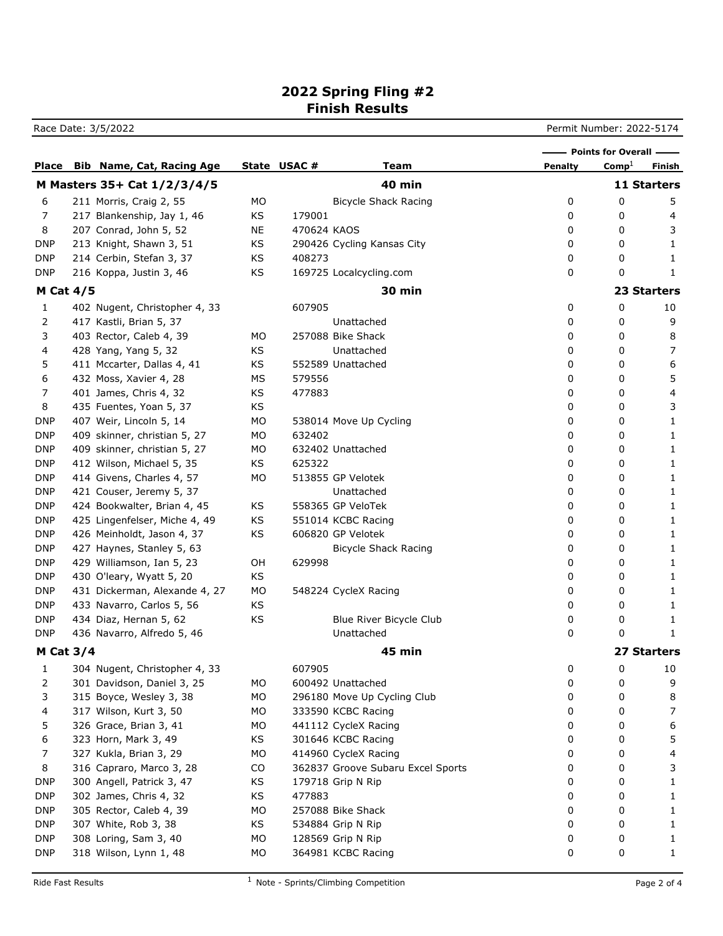## **2022 Spring Fling #2 Finish Results**

Race Date: 3/5/2022 **Permit Number: 2022-5174** 

|                  |                                  |    |             |                                   |         | - Points for Overall - |                    |
|------------------|----------------------------------|----|-------------|-----------------------------------|---------|------------------------|--------------------|
| <b>Place</b>     | <b>Bib Name, Cat, Racing Age</b> |    | State USAC# | Team                              | Penalty | $Comp\perp$            | Finish             |
|                  | M Masters 35+ Cat 1/2/3/4/5      |    |             | <b>40 min</b>                     |         |                        | 11 Starters        |
| 6                | 211 Morris, Craig 2, 55          | МO |             | <b>Bicycle Shack Racing</b>       | 0       | 0                      | 5                  |
| 7                | 217 Blankenship, Jay 1, 46       | KS | 179001      |                                   | 0       | 0                      | 4                  |
| 8                | 207 Conrad, John 5, 52           | NE | 470624 KAOS |                                   | 0       | 0                      | 3                  |
| <b>DNP</b>       | 213 Knight, Shawn 3, 51          | KS |             | 290426 Cycling Kansas City        | 0       | 0                      | 1                  |
| <b>DNP</b>       | 214 Cerbin, Stefan 3, 37         | KS | 408273      |                                   | 0       | 0                      | 1                  |
| <b>DNP</b>       | 216 Koppa, Justin 3, 46          | KS |             | 169725 Localcycling.com           | 0       | 0                      | 1                  |
| <b>M Cat 4/5</b> |                                  |    |             | <b>30 min</b>                     |         |                        | <b>23 Starters</b> |
| 1                | 402 Nugent, Christopher 4, 33    |    | 607905      |                                   | 0       | 0                      | 10                 |
| 2                | 417 Kastli, Brian 5, 37          |    |             | Unattached                        | 0       | 0                      | 9                  |
| 3                | 403 Rector, Caleb 4, 39          | МO |             | 257088 Bike Shack                 | 0       | 0                      | 8                  |
| 4                | 428 Yang, Yang 5, 32             | KS |             | Unattached                        | 0       | 0                      | 7                  |
| 5                | 411 Mccarter, Dallas 4, 41       | KS |             | 552589 Unattached                 | 0       | 0                      | 6                  |
| 6                | 432 Moss, Xavier 4, 28           | МS | 579556      |                                   | 0       | 0                      | 5                  |
| 7                | 401 James, Chris 4, 32           | KS | 477883      |                                   | 0       | 0                      | 4                  |
| 8                | 435 Fuentes, Yoan 5, 37          | KS |             |                                   | 0       | 0                      | 3                  |
| <b>DNP</b>       | 407 Weir, Lincoln 5, 14          | MO |             | 538014 Move Up Cycling            | 0       | 0                      | 1                  |
| <b>DNP</b>       | 409 skinner, christian 5, 27     | MO | 632402      |                                   | 0       | 0                      | 1                  |
| <b>DNP</b>       | 409 skinner, christian 5, 27     | MO |             | 632402 Unattached                 | 0       | 0                      | 1                  |
| <b>DNP</b>       | 412 Wilson, Michael 5, 35        | KS | 625322      |                                   | 0       | 0                      | 1                  |
| <b>DNP</b>       | 414 Givens, Charles 4, 57        | MO |             | 513855 GP Velotek                 | 0       | 0                      | 1                  |
| <b>DNP</b>       | 421 Couser, Jeremy 5, 37         |    |             | Unattached                        | 0       | 0                      | 1                  |
| <b>DNP</b>       | 424 Bookwalter, Brian 4, 45      | KS |             | 558365 GP VeloTek                 | 0       | 0                      | 1                  |
| <b>DNP</b>       | 425 Lingenfelser, Miche 4, 49    | KS |             | 551014 KCBC Racing                | 0       | 0                      | 1                  |
| <b>DNP</b>       | 426 Meinholdt, Jason 4, 37       | KS |             | 606820 GP Velotek                 | 0       | 0                      | 1                  |
| <b>DNP</b>       | 427 Haynes, Stanley 5, 63        |    |             | <b>Bicycle Shack Racing</b>       | 0       | 0                      | 1                  |
| <b>DNP</b>       | 429 Williamson, Ian 5, 23        | OH | 629998      |                                   | 0       | 0                      | 1                  |
| <b>DNP</b>       | 430 O'leary, Wyatt 5, 20         | KS |             |                                   | 0       | 0                      | 1                  |
| <b>DNP</b>       | 431 Dickerman, Alexande 4, 27    | MO |             | 548224 CycleX Racing              | 0       | 0                      | 1                  |
| <b>DNP</b>       | 433 Navarro, Carlos 5, 56        | KS |             |                                   | 0       | 0                      | 1                  |
| <b>DNP</b>       | 434 Diaz, Hernan 5, 62           | KS |             | Blue River Bicycle Club           | 0       | 0                      | 1                  |
| <b>DNP</b>       | 436 Navarro, Alfredo 5, 46       |    |             | Unattached                        | 0       | 0                      | 1                  |
| M Cat $3/4$      |                                  |    |             | 45 min                            |         |                        | 27 Starters        |
| 1                | 304 Nugent, Christopher 4, 33    |    | 607905      |                                   | 0       | 0                      | 10                 |
| 2                | 301 Davidson, Daniel 3, 25       | MO |             | 600492 Unattached                 | 0       | 0                      | 9                  |
| 3                | 315 Boyce, Wesley 3, 38          | MO |             | 296180 Move Up Cycling Club       | 0       | 0                      | 8                  |
| 4                | 317 Wilson, Kurt 3, 50           | MO |             | 333590 KCBC Racing                | 0       | 0                      | 7                  |
| 5                | 326 Grace, Brian 3, 41           | MO |             | 441112 CycleX Racing              | 0       | 0                      | 6                  |
| 6                | 323 Horn, Mark 3, 49             | KS |             | 301646 KCBC Racing                | 0       | 0                      | 5                  |
| 7                | 327 Kukla, Brian 3, 29           | MO |             | 414960 CycleX Racing              | 0       | 0                      | 4                  |
| 8                | 316 Capraro, Marco 3, 28         | CO |             | 362837 Groove Subaru Excel Sports | 0       | 0                      | 3                  |
| <b>DNP</b>       | 300 Angell, Patrick 3, 47        | KS |             | 179718 Grip N Rip                 | 0       | 0                      | 1                  |
| <b>DNP</b>       | 302 James, Chris 4, 32           | KS | 477883      |                                   | 0       | 0                      | 1                  |
| <b>DNP</b>       | 305 Rector, Caleb 4, 39          | MO |             | 257088 Bike Shack                 | 0       | 0                      | 1                  |
| <b>DNP</b>       | 307 White, Rob 3, 38             | KS |             | 534884 Grip N Rip                 | 0       | 0                      | 1                  |
| <b>DNP</b>       | 308 Loring, Sam 3, 40            | MO |             | 128569 Grip N Rip                 | 0       | 0                      | 1                  |
| <b>DNP</b>       | 318 Wilson, Lynn 1, 48           | MO |             | 364981 KCBC Racing                | 0       | 0                      | 1                  |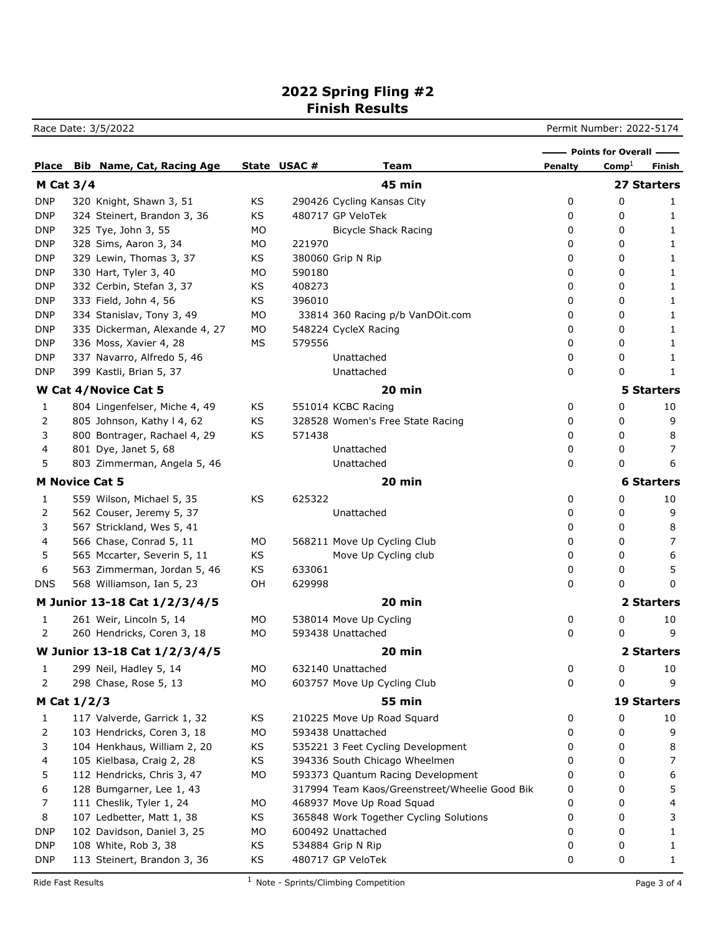## **2022 Spring Fling #2 Finish Results**

Race Date: 3/5/2022 **Permit Number: 2022-5174** 

|                       |                                  |    |             |                                               |                | - Points for Overall - |                    |
|-----------------------|----------------------------------|----|-------------|-----------------------------------------------|----------------|------------------------|--------------------|
| Place                 | <b>Bib Name, Cat, Racing Age</b> |    | State USAC# | Team                                          | <b>Penalty</b> | $\mathrm{Comp}^1$      | Finish             |
| <b>M Cat 3/4</b>      |                                  |    |             | <b>45 min</b>                                 |                |                        | 27 Starters        |
| DNP                   | 320 Knight, Shawn 3, 51          | KS |             | 290426 Cycling Kansas City                    | 0              | 0                      | 1                  |
| <b>DNP</b>            | 324 Steinert, Brandon 3, 36      | KS |             | 480717 GP VeloTek                             | 0              | 0                      | 1                  |
| <b>DNP</b>            | 325 Tye, John 3, 55              | МO |             | <b>Bicycle Shack Racing</b>                   | 0              | 0                      | 1                  |
| DNP                   | 328 Sims, Aaron 3, 34            | МO | 221970      |                                               | 0              | 0                      | 1                  |
| DNP                   | 329 Lewin, Thomas 3, 37          | ΚS |             | 380060 Grip N Rip                             | 0              | 0                      | 1                  |
| <b>DNP</b>            | 330 Hart, Tyler 3, 40            | МO | 590180      |                                               | 0              | 0                      | 1                  |
| <b>DNP</b>            | 332 Cerbin, Stefan 3, 37         | ΚS | 408273      |                                               | 0              | 0                      | 1                  |
| <b>DNP</b>            | 333 Field, John 4, 56            | ΚS | 396010      |                                               | 0              | 0                      | 1                  |
| <b>DNP</b>            | 334 Stanislav, Tony 3, 49        | МO |             | 33814 360 Racing p/b VanDOit.com              | 0              | 0                      | 1                  |
| <b>DNP</b>            | 335 Dickerman, Alexande 4, 27    | МO |             | 548224 CycleX Racing                          | 0              | 0                      | 1                  |
| <b>DNP</b>            | 336 Moss, Xavier 4, 28           | МS | 579556      |                                               | 0              | 0                      | 1                  |
| DNP                   | 337 Navarro, Alfredo 5, 46       |    |             | Unattached                                    | 0              | 0                      | 1                  |
| DNP                   | 399 Kastli, Brian 5, 37          |    |             | Unattached                                    | 0              | 0                      | 1                  |
|                       | W Cat 4/Novice Cat 5             |    |             | 20 min                                        |                |                        | <b>5 Starters</b>  |
| 1                     | 804 Lingenfelser, Miche 4, 49    | ΚS |             | 551014 KCBC Racing                            | 0              | 0                      | 10                 |
| 2                     | 805 Johnson, Kathy I 4, 62       | ΚS |             | 328528 Women's Free State Racing              | 0              | 0                      | 9                  |
| 3                     | 800 Bontrager, Rachael 4, 29     | ΚS | 571438      |                                               | 0              | 0                      | 8                  |
| 4                     | 801 Dye, Janet 5, 68             |    |             | Unattached                                    | 0              | 0                      | 7                  |
| 5                     | 803 Zimmerman, Angela 5, 46      |    |             | Unattached                                    | 0              | 0                      | 6                  |
| <b>M Novice Cat 5</b> |                                  |    |             | 20 min                                        |                |                        | <b>6 Starters</b>  |
| 1                     | 559 Wilson, Michael 5, 35        | KS | 625322      |                                               | 0              | 0                      | 10                 |
| 2                     | 562 Couser, Jeremy 5, 37         |    |             | Unattached                                    | 0              | 0                      | 9                  |
| 3                     | 567 Strickland, Wes 5, 41        |    |             |                                               | 0              | 0                      | 8                  |
| 4                     | 566 Chase, Conrad 5, 11          | MO |             | 568211 Move Up Cycling Club                   | 0              | 0                      | 7                  |
| 5                     | 565 Mccarter, Severin 5, 11      | ΚS |             | Move Up Cycling club                          | 0              | 0                      | 6                  |
| 6                     | 563 Zimmerman, Jordan 5, 46      | ΚS | 633061      |                                               | 0              | 0                      | 5                  |
| DNS                   | 568 Williamson, Ian 5, 23        | OH | 629998      |                                               | 0              | 0                      | 0                  |
|                       | M Junior 13-18 Cat 1/2/3/4/5     |    |             | 20 min                                        |                |                        | 2 Starters         |
| 1                     | 261 Weir, Lincoln 5, 14          | МO |             | 538014 Move Up Cycling                        | 0              | 0                      | 10                 |
| 2                     | 260 Hendricks, Coren 3, 18       | МO |             | 593438 Unattached                             | 0              | 0                      | 9                  |
|                       | W Junior 13-18 Cat 1/2/3/4/5     |    |             | 20 min                                        |                |                        | 2 Starters         |
| $\mathbf{1}$          | 299 Neil, Hadley 5, 14           | MO |             | 632140 Unattached                             | 0              | 0                      | 10                 |
| 2                     | 298 Chase, Rose 5, 13            | MO |             | 603757 Move Up Cycling Club                   | 0              | 0                      | 9                  |
| M Cat 1/2/3           |                                  |    |             | <b>55 min</b>                                 |                |                        | <b>19 Starters</b> |
| 1                     | 117 Valverde, Garrick 1, 32      | KS |             | 210225 Move Up Road Squard                    | 0              | 0                      | 10                 |
| 2                     | 103 Hendricks, Coren 3, 18       | MO |             | 593438 Unattached                             | 0              | 0                      | 9                  |
| 3                     | 104 Henkhaus, William 2, 20      | ΚS |             | 535221 3 Feet Cycling Development             | 0              | 0                      | 8                  |
| 4                     | 105 Kielbasa, Craig 2, 28        | ΚS |             | 394336 South Chicago Wheelmen                 | 0              | 0                      | 7                  |
| 5                     | 112 Hendricks, Chris 3, 47       | MO |             | 593373 Quantum Racing Development             | 0              | 0                      | 6                  |
| 6                     | 128 Bumgarner, Lee 1, 43         |    |             | 317994 Team Kaos/Greenstreet/Wheelie Good Bik | 0              | 0                      | 5                  |
| 7                     | 111 Cheslik, Tyler 1, 24         | MO |             | 468937 Move Up Road Squad                     | 0              | 0                      | 4                  |
| 8                     | 107 Ledbetter, Matt 1, 38        | ΚS |             | 365848 Work Together Cycling Solutions        | 0              | 0                      | 3                  |
| DNP                   | 102 Davidson, Daniel 3, 25       | MO |             | 600492 Unattached                             | 0              | 0                      | 1                  |
| <b>DNP</b>            | 108 White, Rob 3, 38             | ΚS |             | 534884 Grip N Rip                             | 0              | 0                      | 1                  |
| <b>DNP</b>            | 113 Steinert, Brandon 3, 36      | KS |             | 480717 GP VeloTek                             | 0              | 0                      | 1                  |